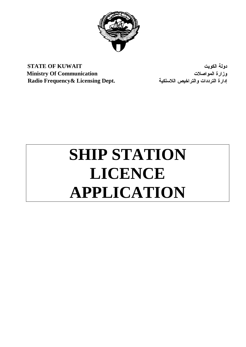

**STATE OF KUWAIT** الكويت دولة **Ministry Of Communication** المواصلات وزارة إدارة الترددات والتراخيص اللاسلكية **.Dept Licensing& Frequency Radio**

# **SHIP STATION LICENCE APPLICATION**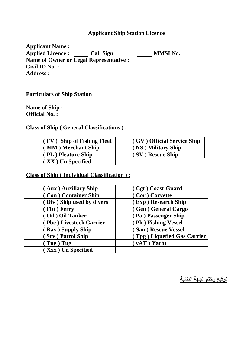#### **Applicant Ship Station Licence**

| <b>Applicant Name:</b>                        |                 |
|-----------------------------------------------|-----------------|
| Call Sign<br><b>Applied Licence:</b>          | <b>MMSI No.</b> |
| <b>Name of Owner or Legal Representative:</b> |                 |
| Civil ID $No.$ :                              |                 |
| <b>Address:</b>                               |                 |

#### **Particulars of Ship Station**

**Name of Ship : Official No. :** 

#### **Class of Ship ( General Classifications ) :**

| (FV) Ship of Fishing Fleet | (GV) Official Service Ship |
|----------------------------|----------------------------|
| (MM) Merchant Ship         | (NS) Military Ship         |
| (PL) Pleature Ship         | (SV) Rescue Ship           |
| (XX) Un Specified          |                            |

# **Class of Ship ( Individual Classification ) :**

| (Aux) Auxiliary Ship      | (Cgt) Coast-Guard           |
|---------------------------|-----------------------------|
| (Con) Container Ship      | (Cor) Corvette              |
| (Div) Ship used by divers | (Exp) Research Ship         |
| (Fbt) Ferry               | (Gen) General Cargo         |
| (Oil) Oil Tanker          | (Pa) Passenger Ship         |
| (Pbe) Livestock Carrier   | (Ph) Fishing Vessel         |
| (Rav) Supply Ship         | (Sau) Rescue Vessel         |
| (Srv) Patrol Ship         | (Tpg) Liquefied Gas Carrier |
| $\int Tug$ ) $Tug$        | $(yAT)$ Yacht               |
| (Xxx) Un Specified        |                             |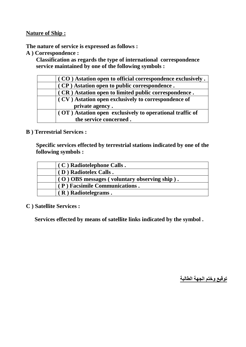#### **Nature of Ship :**

**The nature of service is expressed as follows :** 

**A ) Correspondence :** 

 **Classification as regards the type of international correspondence service maintained by one of the following symbols :**

| $\sigma$ (CO) Astation open to official correspondence exclusively.    |
|------------------------------------------------------------------------|
| (CP) Astation open to public correspondence.                           |
| (CR) Astation open to limited public correspondence.                   |
| (CV) Astation open exclusively to correspondence of<br>private agency. |
| (OT) Astation open exclusively to operational traffic of               |
| the service concerned.                                                 |

#### **B ) Terrestrial Services :**

 **Specific services effected by terrestrial stations indicated by one of the following symbols :** 

| $(C)$ Radiotelephone Calls.                  |  |
|----------------------------------------------|--|
| (D) Radiotelex Calls.                        |  |
| (O) OBS messages (voluntary observing ship). |  |
| (P) Facsimile Communications.                |  |
| $( R )$ Radiotelegrams.                      |  |

**C ) Satellite Services :** 

 **Services effected by means of satellite links indicated by the symbol .**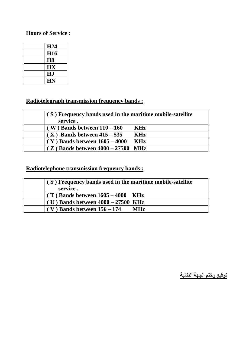#### **Hours of Service :**

| H <sub>24</sub> |
|-----------------|
| <b>H16</b>      |
| H <sub>8</sub>  |
| HX              |
| HJ              |
| <b>HN</b>       |

## **Radiotelegraph transmission frequency bands :**

| (S) Frequency bands used in the maritime mobile-satellite |            |  |  |  |  |
|-----------------------------------------------------------|------------|--|--|--|--|
| service.                                                  |            |  |  |  |  |
| $(W)$ Bands between $110 - 160$                           | <b>KHz</b> |  |  |  |  |
| $(X)$ Bands between $415 - 535$                           | <b>KHz</b> |  |  |  |  |
| $(Y)$ Bands between $1605 - 4000$                         | <b>KHz</b> |  |  |  |  |
| $(Z)$ Bands between $4000 - 27500$ MHz                    |            |  |  |  |  |

#### **Radiotelephone transmission frequency bands :**

| (S) Frequency bands used in the maritime mobile-satellite<br>service. |            |  |  |  |  |
|-----------------------------------------------------------------------|------------|--|--|--|--|
| $(T)$ Bands between $1605 - 4000$ KHz                                 |            |  |  |  |  |
| $(U)$ Bands between $4000 - 27500$ KHz                                |            |  |  |  |  |
| $(V)$ Bands between $156 - 174$                                       | <b>MHz</b> |  |  |  |  |